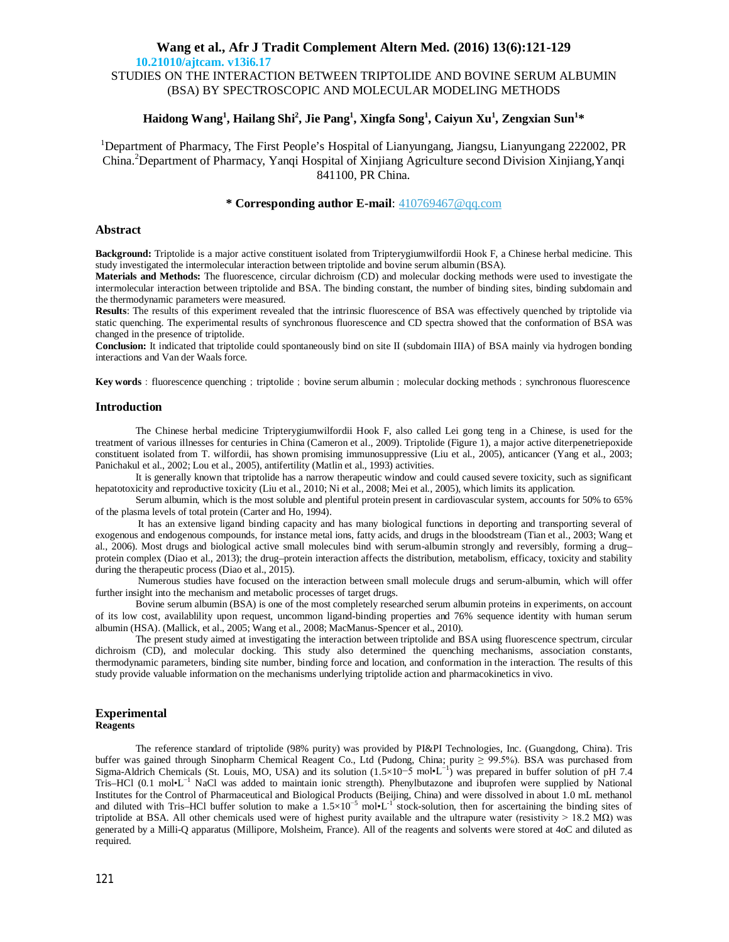**10.21010/ajtcam. v13i6.17**

STUDIES ON THE INTERACTION BETWEEN TRIPTOLIDE AND BOVINE SERUM ALBUMIN (BSA) BY SPECTROSCOPIC AND MOLECULAR MODELING METHODS

# **Haidong Wang<sup>1</sup> , Hailang Shi<sup>2</sup> , Jie Pang<sup>1</sup> , Xingfa Song<sup>1</sup> , Caiyun Xu<sup>1</sup> , Zengxian Sun<sup>1</sup> \***

<sup>1</sup>Department of Pharmacy, The First People's Hospital of Lianyungang, Jiangsu, Lianyungang 222002, PR China. <sup>2</sup>Department of Pharmacy, Yanqi Hospital of Xinjiang Agriculture second Division Xinjiang,Yanqi 841100, PR China.

## **\* Corresponding author E-mail**: 410769467@qq.com

## **Abstract**

**Background:** Triptolide is a major active constituent isolated from Tripterygiumwilfordii Hook F, a Chinese herbal medicine. This study investigated the intermolecular interaction between triptolide and bovine serum albumin (BSA).

**Materials and Methods:** The fluorescence, circular dichroism (CD) and molecular docking methods were used to investigate the intermolecular interaction between triptolide and BSA. The binding constant, the number of binding sites, binding subdomain and the thermodynamic parameters were measured.

**Results**: The results of this experiment revealed that the intrinsic fluorescence of BSA was effectively quenched by triptolide via static quenching. The experimental results of synchronous fluorescence and CD spectra showed that the conformation of BSA was changed in the presence of triptolide.

**Conclusion:** It indicated that triptolide could spontaneously bind on site II (subdomain IIIA) of BSA mainly via hydrogen bonding interactions and Van der Waals force.

**Key words**: fluorescence quenching; triptolide; bovine serum albumin; molecular docking methods; synchronous fluorescence

### **Introduction**

The Chinese herbal medicine Tripterygiumwilfordii Hook F, also called Lei gong teng in a Chinese, is used for the treatment of various illnesses for centuries in China (Cameron et al., 2009). Triptolide (Figure 1), a major active diterpenetriepoxide constituent isolated from T. wilfordii, has shown promising immunosuppressive (Liu et al., 2005), anticancer (Yang et al., 2003; Panichakul et al., 2002; Lou et al., 2005), antifertility (Matlin et al., 1993) activities.

It is generally known that triptolide has a narrow therapeutic window and could caused severe toxicity, such as significant hepatotoxicity and reproductive toxicity (Liu et al., 2010; Ni et al., 2008; Mei et al., 2005), which limits its application.

Serum albumin, which is the most soluble and plentiful protein present in cardiovascular system, accounts for 50% to 65% of the plasma levels of total protein (Carter and Ho, 1994).

It has an extensive ligand binding capacity and has many biological functions in deporting and transporting several of exogenous and endogenous compounds, for instance metal ions, fatty acids, and drugs in the bloodstream (Tian et al., 2003; Wang et al., 2006). Most drugs and biological active small molecules bind with serum-albumin strongly and reversibly, forming a drug– protein complex (Diao et al., 2013); the drug–protein interaction affects the distribution, metabolism, efficacy, toxicity and stability during the therapeutic process (Diao et al., 2015).

Numerous studies have focused on the interaction between small molecule drugs and serum-albumin, which will offer further insight into the mechanism and metabolic processes of target drugs.

Bovine serum albumin (BSA) is one of the most completely researched serum albumin proteins in experiments, on account of its low cost, availablility upon request, uncommon ligand-binding properties and 76% sequence identity with human serum albumin (HSA). (Mallick, et al., 2005; Wang et al., 2008; MacManus-Spencer et al., 2010).

The present study aimed at investigating the interaction between triptolide and BSA using fluorescence spectrum, circular dichroism (CD), and molecular docking. This study also determined the quenching mechanisms, association constants, thermodynamic parameters, binding site number, binding force and location, and conformation in the interaction. The results of this study provide valuable information on the mechanisms underlying triptolide action and pharmacokinetics in vivo.

#### **Experimental Reagents**

The reference standard of triptolide (98% purity) was provided by PI&PI Technologies, Inc. (Guangdong, China). Tris buffer was gained through Sinopharm Chemical Reagent Co., Ltd (Pudong, China; purity ≥ 99.5%). BSA was purchased from Sigma-Aldrich Chemicals (St. Louis, MO, USA) and its solution (1.5×10-5 mol•L<sup>-1</sup>) was prepared in buffer solution of pH 7.4 Tris–HCl (0.1 mol•L<sup>-1</sup> NaCl was added to maintain ionic strength). Phenylbutazone and ibuprofen were supplied by National Institutes for the Control of Pharmaceutical and Biological Products (Beijing, China) and were dissolved in about 1.0 mL methanol and diluted with Tris–HCl buffer solution to make a  $1.5 \times 10^{-5}$  mol•L<sup>-1</sup> stock-solution, then for ascertaining the binding sites of triptolide at BSA. All other chemicals used were of highest purity available and the ultrapure water (resistivity > 18.2 MΩ) was generated by a Milli-Q apparatus (Millipore, Molsheim, France). All of the reagents and solvents were stored at 4oC and diluted as required.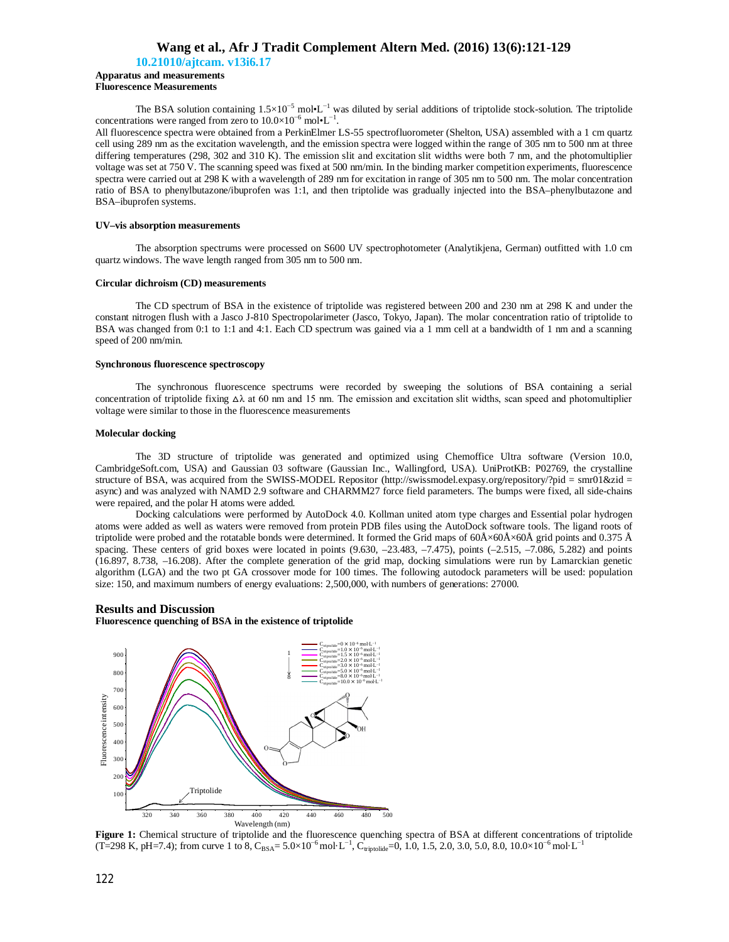**10.21010/ajtcam. v13i6.17**

#### **Apparatus and measurements Fluorescence Measurements**

The BSA solution containing  $1.5\times10^{-5}$  mol•L<sup>-1</sup> was diluted by serial additions of triptolide stock-solution. The triptolide concentrations were ranged from zero to  $10.0 \times 10^{-6}$  mol•L<sup>-1</sup>.

All fluorescence spectra were obtained from a PerkinElmer LS-55 spectrofluorometer (Shelton, USA) assembled with a 1 cm quartz cell using 289 nm as the excitation wavelength, and the emission spectra were logged within the range of 305 nm to 500 nm at three differing temperatures (298, 302 and 310 K). The emission slit and excitation slit widths were both 7 nm, and the photomultiplier voltage was set at 750 V. The scanning speed was fixed at 500 nm/min. In the binding marker competition experiments, fluorescence spectra were carried out at 298 K with a wavelength of 289 nm for excitation in range of 305 nm to 500 nm. The molar concentration ratio of BSA to phenylbutazone/ibuprofen was 1:1, and then triptolide was gradually injected into the BSA–phenylbutazone and BSA–ibuprofen systems.

#### **UV–vis absorption measurements**

The absorption spectrums were processed on S600 UV spectrophotometer (Analytikjena, German) outfitted with 1.0 cm quartz windows. The wave length ranged from 305 nm to 500 nm.

### **Circular dichroism (CD) measurements**

The CD spectrum of BSA in the existence of triptolide was registered between 200 and 230 nm at 298 K and under the constant nitrogen flush with a Jasco J-810 Spectropolarimeter (Jasco, Tokyo, Japan). The molar concentration ratio of triptolide to BSA was changed from 0:1 to 1:1 and 4:1. Each CD spectrum was gained via a 1 mm cell at a bandwidth of 1 nm and a scanning speed of 200 nm/min.

### **Synchronous fluorescence spectroscopy**

The synchronous fluorescence spectrums were recorded by sweeping the solutions of BSA containing a serial concentration of triptolide fixing  $\Delta\lambda$  at 60 nm and 15 nm. The emission and excitation slit widths, scan speed and photomultiplier voltage were similar to those in the fluorescence measurements

#### **Molecular docking**

The 3D structure of triptolide was generated and optimized using Chemoffice Ultra software (Version 10.0, CambridgeSoft.com, USA) and Gaussian 03 software (Gaussian Inc., Wallingford, USA). UniProtKB: P02769, the crystalline structure of BSA, was acquired from the SWISS-MODEL Repositor (http://swissmodel.expasy.org/repository/?pid = smr01&zid = async) and was analyzed with NAMD 2.9 software and CHARMM27 force field parameters. The bumps were fixed, all side-chains were repaired, and the polar H atoms were added.

Docking calculations were performed by AutoDock 4.0. Kollman united atom type charges and Essential polar hydrogen atoms were added as well as waters were removed from protein PDB files using the AutoDock software tools. The ligand roots of triptolide were probed and the rotatable bonds were determined. It formed the Grid maps of  $60\text{\AA} \times 60\text{\AA} \times 60\text{\AA}$  grid points and 0.375 Å spacing. These centers of grid boxes were located in points (9.630, -23.483, -7.475), points (-2.515, -7.086, 5.282) and points (16.897, 8.738, –16.208). After the complete generation of the grid map, docking simulations were run by Lamarckian genetic algorithm (LGA) and the two pt GA crossover mode for 100 times. The following autodock parameters will be used: population size: 150, and maximum numbers of energy evaluations: 2,500,000, with numbers of generations: 27000.

## **Results and Discussion**

**Fluorescence quenching of BSA in the existence of triptolide**



**Figure 1:** Chemical structure of triptolide and the fluorescence quenching spectra of BSA at different concentrations of triptolide (T=298 K, pH=7.4); from curve 1 to 8, C<sub>BSA</sub>=  $5.0 \times 10^{-6}$  mol·L<sup>-1</sup>, C<sub>triptolide</sub>=0,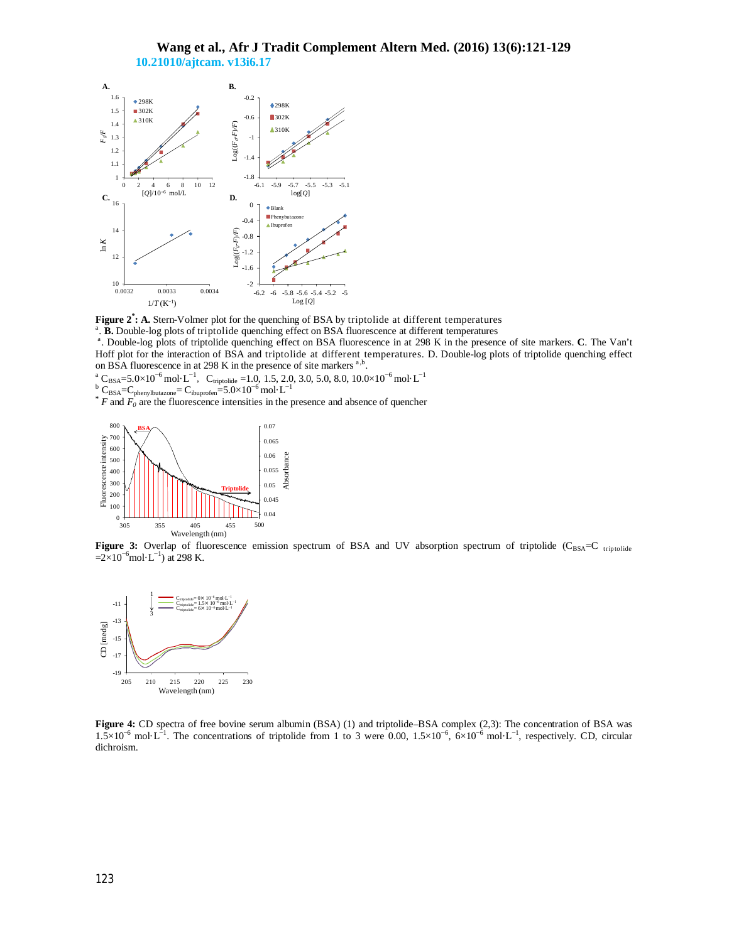# **Wang et al., Afr J Tradit Complement Altern Med. (2016) 13(6):121-129 10.21010/ajtcam. v13i6.17**



**Figure 2\* : A.** Stern-Volmer plot for the quenching of BSA by triptolide at different temperatures

<sup>a</sup>. **B.** Double-log plots of triptolide quenching effect on BSA fluorescence at different temperatures

a . Double-log plots of triptolide quenching effect on BSA fluorescence in at 298 K in the presence of site markers. **C**. The Van't Hoff plot for the interaction of BSA and triptolide at different temperatures. D. Double-log plots of triptolide quenching effect on BSA fluorescence in at 298 K in the presence of site markers  $a,b$ .

 $\frac{a}{c}$  C<sub>BSA</sub>=5.0×10<sup>-6</sup> mol·L<sup>-1</sup>, C<sub>triptolide</sub> =1.0, 1.5, 2.0, 3.0, 5.0, 8.0, 10.0×10<sup>-6</sup> mol·L<sup>-1</sup>

<sup>b</sup> C<sub>BSA</sub>=C<sub>phenylbutazone</sub>= C<sub>ibuprofen</sub>=5.0×10<sup>-6</sup> mol⋅L<sup>-1</sup>

**\*** *F* and  $F_0$  are the fluorescence intensities in the presence and absence of quencher



Figure 3: Overlap of fluorescence emission spectrum of BSA and UV absorption spectrum of triptolide (C<sub>BSA</sub>=C triptolide  $=2\times10^{-6}$ mol·L<sup>-1</sup>) at 298 K.



**Figure 4:** CD spectra of free bovine serum albumin (BSA) (1) and triptolide–BSA complex (2,3): The concentration of BSA was  $1.5\times10^{-6}$  mol·L<sup>-1</sup>. The concentrations of triptolide from 1 to 3 were 0.00,  $1.5\times10^{-6}$ ,  $6\times10^{-6}$  mol·L<sup>-1</sup>, respectively. CD, circular dichroism.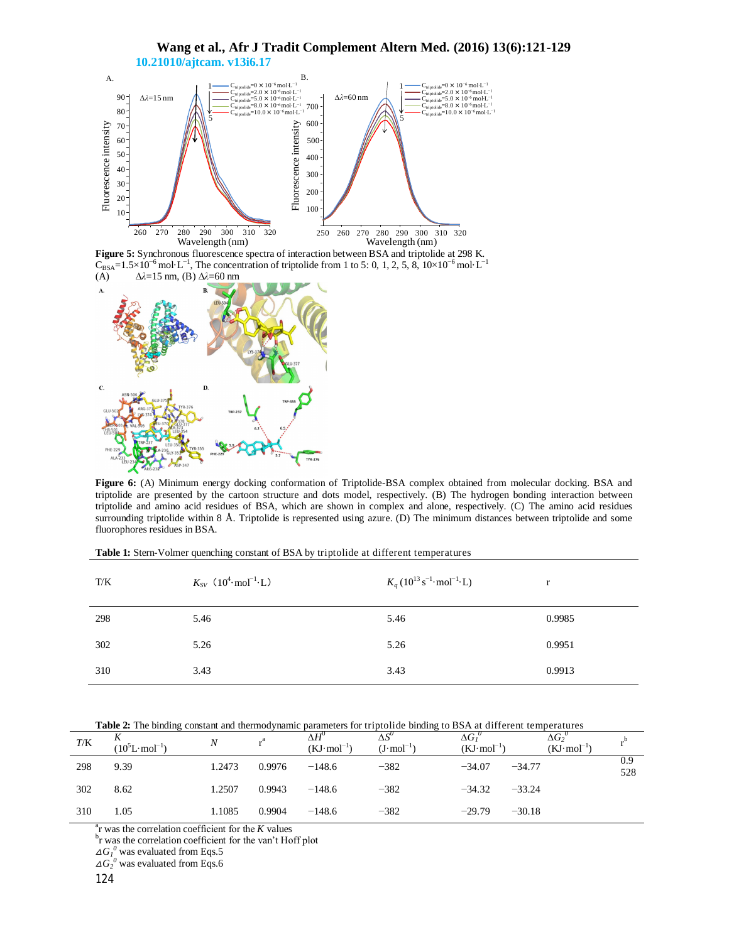

**Figure 5:** Synchronous fluorescence spectra of interaction between BSA and triptolide at 298 K.  $C_{BSA}=1.5\times10^{-6}$  mol·L<sup>-1</sup>, The concentration of triptolide from 1 to 5: 0, 1, 2, 5, 8, 10×10<sup>-6</sup> mol·L<sup>-1</sup> (A) ∆*λ*=15 nm, (B) ∆*λ*=60 nm



**Figure 6:** (A) Minimum energy docking conformation of Triptolide-BSA complex obtained from molecular docking. BSA and triptolide are presented by the cartoon structure and dots model, respectively. (B) The hydrogen bonding interaction between triptolide and amino acid residues of BSA, which are shown in complex and alone, respectively. (C) The amino acid residues surrounding triptolide within 8 Å. Triptolide is represented using azure. (D) The minimum distances between triptolide and some fluorophores residues in BSA.

|  |  |  | <b>Table 1:</b> Stern-Volmer quenching constant of BSA by triptolide at different temperatures |
|--|--|--|------------------------------------------------------------------------------------------------|
|--|--|--|------------------------------------------------------------------------------------------------|

| T/K | $K_{SV}$ (10 <sup>4</sup> ·mol <sup>-1</sup> ·L) | $K_q (10^{13} \text{ s}^{-1} \cdot \text{mol}^{-1} \cdot \text{L})$ | r      |
|-----|--------------------------------------------------|---------------------------------------------------------------------|--------|
| 298 | 5.46                                             | 5.46                                                                | 0.9985 |
| 302 | 5.26                                             | 5.26                                                                | 0.9951 |
| 310 | 3.43                                             | 3.43                                                                | 0.9913 |

| T/K | $(10^5L \cdot mol^{-1})$ | $\boldsymbol{N}$ |        | $\Delta H^{\circ}$<br>$(KJ \cdot \text{mol}^{-1})$ | $\Delta S^{\circ}$<br>$(J \cdot \text{mol}^{-1})$ | $\Delta G_I$<br>$(KJ \cdot \text{mol}^{-1})$ | $\Delta G_2^{\;\;\prime}$<br>$(KJ \cdot \text{mol}^{-1})$ |            |
|-----|--------------------------|------------------|--------|----------------------------------------------------|---------------------------------------------------|----------------------------------------------|-----------------------------------------------------------|------------|
| 298 | 9.39                     | 1.2473           | 0.9976 | $-148.6$                                           | $-382$                                            | $-34.07$<br>$-34.77$                         |                                                           | 0.9<br>528 |
| 302 | 8.62                     | 1.2507           | 0.9943 | $-148.6$                                           | $-382$                                            | $-34.32$<br>$-33.24$                         |                                                           |            |
| 310 | 1.05                     | 1.1085           | 0.9904 | $-148.6$                                           | $-382$                                            | $-29.79$<br>$-30.18$                         |                                                           |            |

 $\alpha$ <sup>a</sup>r was the correlation coefficient for the *K* values

<sup>b</sup>r was the correlation coefficient for the van't Hoff plot

 $\Delta G_I^0$  was evaluated from Eqs.5

 $\Delta G_2^0$  was evaluated from Eqs.6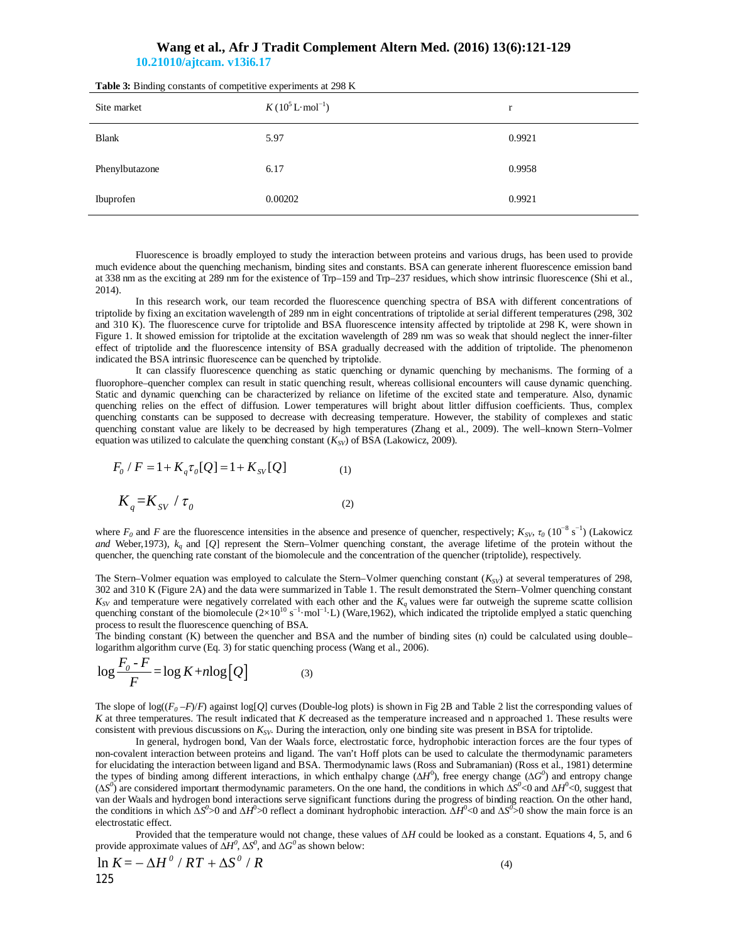# **Wang et al., Afr J Tradit Complement Altern Med. (2016) 13(6):121-129 10.21010/ajtcam. v13i6.17**

| Site market    | $K(10^5 L \cdot mol^{-1})$ | r      |
|----------------|----------------------------|--------|
| <b>Blank</b>   | 5.97                       | 0.9921 |
| Phenylbutazone | 6.17                       | 0.9958 |
| Ibuprofen      | 0.00202                    | 0.9921 |

**Table 3:** Binding constants of competitive experiments at 298 K

Fluorescence is broadly employed to study the interaction between proteins and various drugs, has been used to provide much evidence about the quenching mechanism, binding sites and constants. BSA can generate inherent fluorescence emission band at 338 nm as the exciting at 289 nm for the existence of Trp–159 and Trp–237 residues, which show intrinsic fluorescence (Shi et al., 2014).

In this research work, our team recorded the fluorescence quenching spectra of BSA with different concentrations of triptolide by fixing an excitation wavelength of 289 nm in eight concentrations of triptolide at serial different temperatures (298, 302 and 310 K). The fluorescence curve for triptolide and BSA fluorescence intensity affected by triptolide at 298 K, were shown in Figure 1. It showed emission for triptolide at the excitation wavelength of 289 nm was so weak that should neglect the inner-filter effect of triptolide and the fluorescence intensity of BSA gradually decreased with the addition of triptolide. The phenomenon indicated the BSA intrinsic fluorescence can be quenched by triptolide.

It can classify fluorescence quenching as static quenching or dynamic quenching by mechanisms. The forming of a fluorophore–quencher complex can result in static quenching result, whereas collisional encounters will cause dynamic quenching. Static and dynamic quenching can be characterized by reliance on lifetime of the excited state and temperature. Also, dynamic quenching relies on the effect of diffusion. Lower temperatures will bright about littler diffusion coefficients. Thus, complex quenching constants can be supposed to decrease with decreasing temperature. However, the stability of complexes and static quenching constant value are likely to be decreased by high temperatures (Zhang et al., 2009). The well–known Stern–Volmer equation was utilized to calculate the quenching constant  $(K_{SV})$  of BSA (Lakowicz, 2009).

$$
F_0 / F = 1 + K_q \tau_0 [Q] = 1 + K_{SV} [Q]
$$
  
\n
$$
K_q = K_{SV} / \tau_0
$$
 (2)

where  $F_0$  and  $F$  are the fluorescence intensities in the absence and presence of quencher, respectively;  $K_{SV}$ ,  $\tau_0$  (10<sup>-8</sup> s<sup>-1</sup>) (Lakowicz *and* Weber,1973), *kq* and [*Q*] represent the Stern–Volmer quenching constant, the average lifetime of the protein without the quencher, the quenching rate constant of the biomolecule and the concentration of the quencher (triptolide), respectively.

The Stern–Volmer equation was employed to calculate the Stern–Volmer quenching constant  $(K_{SV})$  at several temperatures of 298, 302 and 310 K (Figure 2A) and the data were summarized in Table 1. The result demonstrated the Stern–Volmer quenching constant  $K_{SV}$  and temperature were negatively correlated with each other and the  $K_q$  values were far outweigh the supreme scatte collision quenching constant of the biomolecule  $(2\times10^{10} \text{ s}^{-1} \cdot \text{mol}^{-1} \cdot \text{L})$  (Ware, 1962), which indicated the triptolide emplyed a static quenching process to result the fluorescence quenching of BSA.

The binding constant (K) between the quencher and BSA and the number of binding sites (n) could be calculated using double– logarithm algorithm curve (Eq. 3) for static quenching process (Wang et al., 2006).

$$
\log \frac{F_o - F}{F} = \log K + n \log [Q] \tag{3}
$$

The slope of  $log((F_0 - F)/F)$  against  $log[Q]$  curves (Double-log plots) is shown in Fig 2B and Table 2 list the corresponding values of *K* at three temperatures. The result indicated that *K* decreased as the temperature increased and n approached 1. These results were consistent with previous discussions on *KSV*. During the interaction, only one binding site was present in BSA for triptolide.

In general, hydrogen bond, Van der Waals force, electrostatic force, hydrophobic interaction forces are the four types of non-covalent interaction between proteins and ligand. The van't Hoff plots can be used to calculate the thermodynamic parameters for elucidating the interaction between ligand and BSA. Thermodynamic laws (Ross and Subramanian) (Ross et al., 1981) determine the types of binding among different interactions, in which enthalpy change ( $\Delta H^0$ ), free energy change ( $\Delta G^0$ ) and entropy change (*∆S 0* ) are considered important thermodynamic parameters. On the one hand, the conditions in which *∆S 0* <0 and *∆H* 0 <0, suggest that van der Waals and hydrogen bond interactions serve significant functions during the progress of binding reaction. On the other hand, the conditions in which  $\Delta S^0 > 0$  and  $\Delta H^0 > 0$  reflect a dominant hydrophobic interaction.  $\Delta H^0 < 0$  and  $\Delta S^0 > 0$  show the main force is an electrostatic effect.

Provided that the temperature would not change, these values of  $\Delta H$  could be looked as a constant. Equations 4, 5, and 6 provide approximate values of  $\Delta H^0$ ,  $\Delta S^0$ , and  $\Delta G^0$  as shown below:

$$
\ln K = -\Delta H^0 / RT + \Delta S^0 / R \tag{4}
$$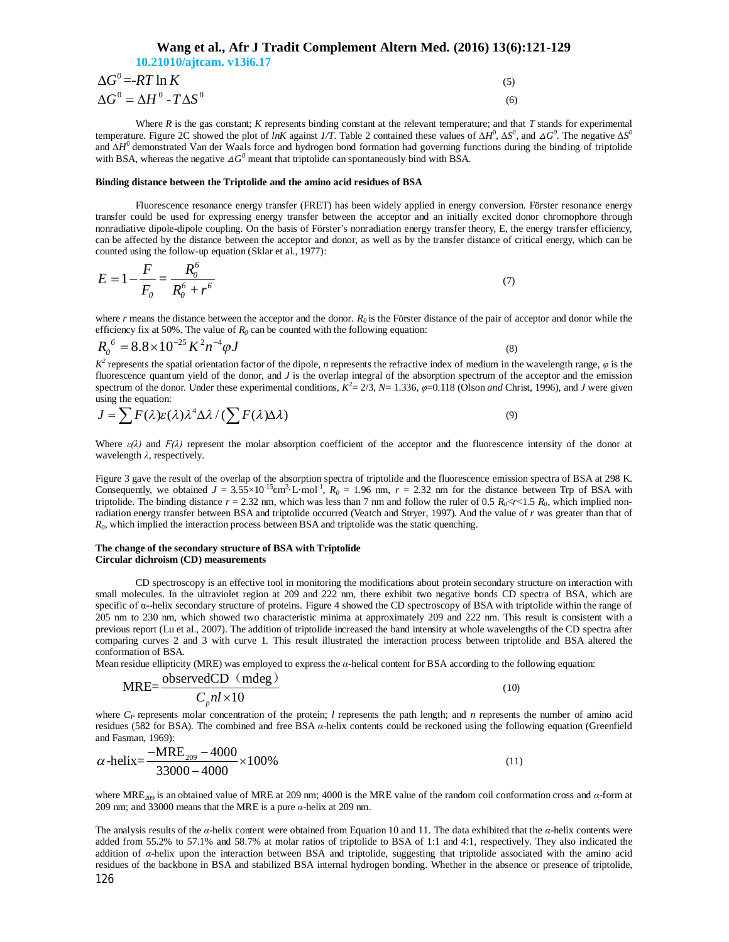| Wang et al., Afr J Tradit Complement Altern Med. (2016) 13(6):121-129 |     |
|-----------------------------------------------------------------------|-----|
| 10.21010/ajtcam. v13i6.17                                             |     |
| $\Delta G^0 = RT \ln K$                                               | (5) |
| $\Delta G^0 = \Delta H^0 - T \Delta S^0$                              | (6) |

Where *R* is the gas constant; *K* represents binding constant at the relevant temperature; and that *T* stands for experimental temperature. Figure 2C showed the plot of *InK* against 1/T. Table 2 contained these values of  $\Delta H^0$ ,  $\Delta S^0$ , and  $\Delta G^0$ . The negative  $\Delta S^0$ and *∆H*<sup>0</sup> demonstrated Van der Waals force and hydrogen bond formation had governing functions during the binding of triptolide with BSA, whereas the negative  $\Delta G^0$  meant that triptolide can spontaneously bind with BSA.

### **Binding distance between the Triptolide and the amino acid residues of BSA**

Fluorescence resonance energy transfer (FRET) has been widely applied in energy conversion. Förster resonance energy transfer could be used for expressing energy transfer between the acceptor and an initially excited donor chromophore through nonradiative dipole-dipole coupling. On the basis of Förster's nonradiation energy transfer theory, E, the energy transfer efficiency, can be affected by the distance between the acceptor and donor, as well as by the transfer distance of critical energy, which can be counted using the follow-up equation (Sklar et al., 1977):

$$
E = 1 - \frac{F}{F_o} = \frac{R_o^6}{R_o^6 + r^6}
$$
\n(7)

where  $r$  means the distance between the acceptor and the donor.  $R_0$  is the Förster distance of the pair of acceptor and donor while the efficiency fix at 50%. The value of  $R_0$  can be counted with the following equation:

$$
R_0^6 = 8.8 \times 10^{-25} K^2 n^{-4} \varphi J \tag{8}
$$

 $K^2$  represents the spatial orientation factor of the dipole, *n* represents the refractive index of medium in the wavelength range,  $\varphi$  is the fluorescence quantum yield of the donor, and *J* is the overlap integral of the absorption spectrum of the acceptor and the emission spectrum of the donor. Under these experimental conditions,  $K^2 = 2/3$ ,  $N = 1.336$ ,  $\varphi = 0.118$  (Olson *and* Christ, 1996), and *J* were given using the equation:

$$
J = \sum F(\lambda)\varepsilon(\lambda)\lambda^4 \Delta \lambda / (\sum F(\lambda)\Delta \lambda)
$$
\n(9)

Where  $\varepsilon(\lambda)$  and  $F(\lambda)$  represent the molar absorption coefficient of the acceptor and the fluorescence intensity of the donor at wavelength *λ*, respectively.

Figure 3 gave the result of the overlap of the absorption spectra of triptolide and the fluorescence emission spectra of BSA at 298 K. Consequently, we obtained  $J = 3.55 \times 10^{-15}$ cm<sup>3</sup> L·mol<sup>-1</sup>,  $R_0 = 1.96$  nm,  $r = 2.32$  nm for the distance between Trp of BSA with triptolide. The binding distance  $r = 2.32$  nm, which was less than 7 nm and follow the ruler of 0.5  $R_0 \ll r \ll 1.5$   $R_0$ , which implied nonradiation energy transfer between BSA and triptolide occurred (Veatch and Stryer, 1997). And the value of *r* was greater than that of *R0* , which implied the interaction process between BSA and triptolide was the static quenching.

#### **The change of the secondary structure of BSA with Triptolide Circular dichroism (CD) measurements**

CD spectroscopy is an effective tool in monitoring the modifications about protein secondary structure on interaction with small molecules. In the ultraviolet region at 209 and 222 nm, there exhibit two negative bonds CD spectra of BSA, which are specific of α--helix secondary structure of proteins. Figure 4 showed the CD spectroscopy of BSA with triptolide within the range of 205 nm to 230 nm, which showed two characteristic minima at approximately 209 and 222 nm. This result is consistent with a previous report (Lu et al., 2007). The addition of triptolide increased the band intensity at whole wavelengths of the CD spectra after comparing curves 2 and 3 with curve 1. This result illustrated the interaction process between triptolide and BSA altered the conformation of BSA.

Mean residue ellipticity (MRE) was employed to express the *α*-helical content for BSA according to the following equation:

$$
MRE = \frac{\text{observedCD} \ (mdeg)}{C_p n l \times 10} \tag{10}
$$

where *C<sup>P</sup>* represents molar concentration of the protein; *l* represents the path length; and *n* represents the number of amino acid residues (582 for BSA). The combined and free BSA *α*-helix contents could be reckoned using the following equation (Greenfield and Fasman, 1969):

$$
\alpha\text{-helix} = \frac{-\text{MRE}_{209} - 4000}{33000 - 4000} \times 100\%
$$
\n(11)

where MRE209 is an obtained value of MRE at 209 nm; 4000 is the MRE value of the random coil conformation cross and *α*-form at 209 nm; and 33000 means that the MRE is a pure *α*-helix at 209 nm.

126 The analysis results of the *α*-helix content were obtained from Equation 10 and 11. The data exhibited that the *α*-helix contents were added from 55.2% to 57.1% and 58.7% at molar ratios of triptolide to BSA of 1:1 and 4:1, respectively. They also indicated the addition of *α*-helix upon the interaction between BSA and triptolide, suggesting that triptolide associated with the amino acid residues of the backbone in BSA and stabilized BSA internal hydrogen bonding. Whether in the absence or presence of triptolide,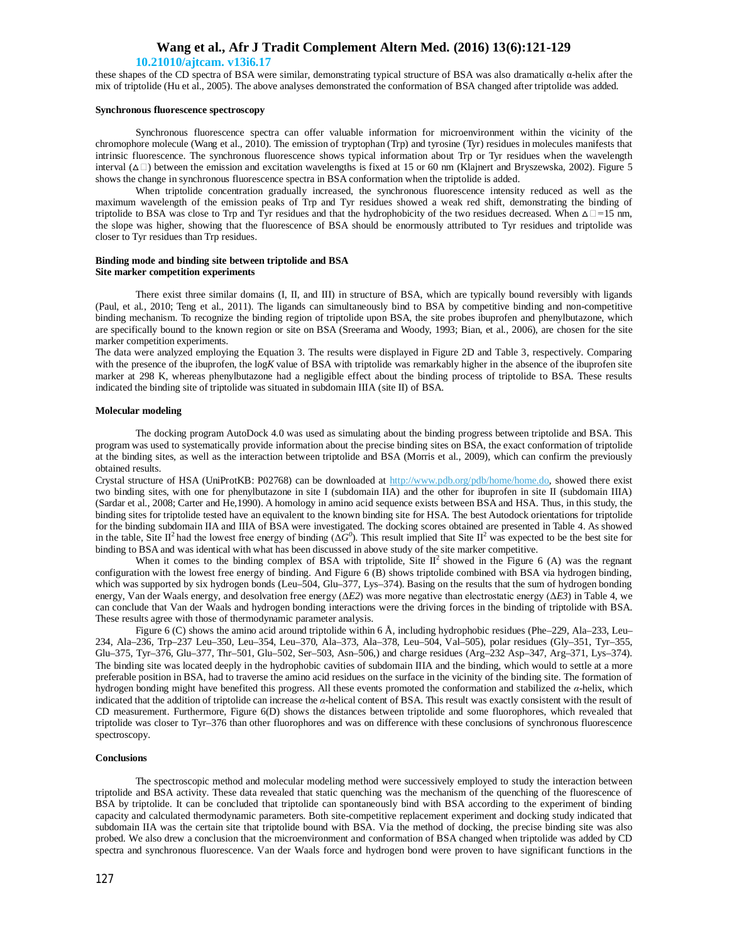#### **10.21010/ajtcam. v13i6.17**

these shapes of the CD spectra of BSA were similar, demonstrating typical structure of BSA was also dramatically α-helix after the mix of triptolide (Hu et al., 2005). The above analyses demonstrated the conformation of BSA changed after triptolide was added.

### **Synchronous fluorescence spectroscopy**

Synchronous fluorescence spectra can offer valuable information for microenvironment within the vicinity of the chromophore molecule (Wang et al., 2010). The emission of tryptophan (Trp) and tyrosine (Tyr) residues in molecules manifests that intrinsic fluorescence. The synchronous fluorescence shows typical information about Trp or Tyr residues when the wavelength interval ( $\Delta \Box$ ) between the emission and excitation wavelengths is fixed at 15 or 60 nm (Klajnert and Bryszewska, 2002). Figure 5 shows the change in synchronous fluorescence spectra in BSA conformation when the triptolide is added.

When triptolide concentration gradually increased, the synchronous fluorescence intensity reduced as well as the maximum wavelength of the emission peaks of Trp and Tyr residues showed a weak red shift, demonstrating the binding of triptolide to BSA was close to Trp and Tyr residues and that the hydrophobicity of the two residues decreased. When △*=*15 nm, the slope was higher, showing that the fluorescence of BSA should be enormously attributed to Tyr residues and triptolide was closer to Tyr residues than Trp residues.

#### **Binding mode and binding site between triptolide and BSA Site marker competition experiments**

There exist three similar domains (I, II, and III) in structure of BSA, which are typically bound reversibly with ligands (Paul, et al., 2010; Teng et al., 2011). The ligands can simultaneously bind to BSA by competitive binding and non-competitive binding mechanism. To recognize the binding region of triptolide upon BSA, the site probes ibuprofen and phenylbutazone, which are specifically bound to the known region or site on BSA (Sreerama and Woody, 1993; Bian, et al., 2006), are chosen for the site marker competition experiments.

The data were analyzed employing the Equation 3. The results were displayed in Figure 2D and Table 3, respectively. Comparing with the presence of the ibuprofen, the log*K* value of BSA with triptolide was remarkably higher in the absence of the ibuprofen site marker at 298 K, whereas phenylbutazone had a negligible effect about the binding process of triptolide to BSA. These results indicated the binding site of triptolide was situated in subdomain IIIA (site II) of BSA.

#### **Molecular modeling**

The docking program AutoDock 4.0 was used as simulating about the binding progress between triptolide and BSA. This program was used to systematically provide information about the precise binding sites on BSA, the exact conformation of triptolide at the binding sites, as well as the interaction between triptolide and BSA (Morris et al., 2009), which can confirm the previously obtained results.

Crystal structure of HSA (UniProtKB: P02768) can be downloaded at http://www.pdb.org/pdb/home/home.do, showed there exist two binding sites, with one for phenylbutazone in site I (subdomain IIA) and the other for ibuprofen in site II (subdomain IIIA) (Sardar et al., 2008; Carter and He,1990). A homology in amino acid sequence exists between BSA and HSA. Thus, in this study, the binding sites for triptolide tested have an equivalent to the known binding site for HSA. The best Autodock orientations for triptolide for the binding subdomain IIA and IIIA of BSA were investigated. The docking scores obtained are presented in Table 4. As showed in the table, Site II<sup>2</sup> had the lowest free energy of binding ( $\Delta \vec{G}^0$ ). This result implied that Site II<sup>2</sup> was expected to be the best site for binding to BSA and was identical with what has been discussed in above study of the site marker competitive.

When it comes to the binding complex of BSA with triptolide, Site  $II^2$  showed in the Figure 6 (A) was the regnant configuration with the lowest free energy of binding. And Figure 6 (B) shows triptolide combined with BSA via hydrogen binding, which was supported by six hydrogen bonds (Leu–504, Glu–377, Lys–374). Basing on the results that the sum of hydrogen bonding energy, Van der Waals energy, and desolvation free energy (Δ*E2*) was more negative than electrostatic energy (Δ*E3*) in Table 4, we can conclude that Van der Waals and hydrogen bonding interactions were the driving forces in the binding of triptolide with BSA. These results agree with those of thermodynamic parameter analysis.

Figure 6 (C) shows the amino acid around triptolide within 6 Å, including hydrophobic residues (Phe–229, Ala–233, Leu– 234, Ala–236, Trp–237 Leu–350, Leu–354, Leu–370, Ala–373, Ala–378, Leu–504, Val–505), polar residues (Gly–351, Tyr–355, Glu–375, Tyr–376, Glu–377, Thr–501, Glu–502, Ser–503, Asn–506,) and charge residues (Arg–232 Asp–347, Arg–371, Lys–374). The binding site was located deeply in the hydrophobic cavities of subdomain IIIA and the binding, which would to settle at a more preferable position in BSA, had to traverse the amino acid residues on the surface in the vicinity of the binding site. The formation of hydrogen bonding might have benefited this progress. All these events promoted the conformation and stabilized the *α*-helix, which indicated that the addition of triptolide can increase the *α*-helical content of BSA. This result was exactly consistent with the result of CD measurement. Furthermore, Figure 6(D) shows the distances between triptolide and some fluorophores, which revealed that triptolide was closer to Tyr–376 than other fluorophores and was on difference with these conclusions of synchronous fluorescence spectroscopy.

#### **Conclusions**

The spectroscopic method and molecular modeling method were successively employed to study the interaction between triptolide and BSA activity. These data revealed that static quenching was the mechanism of the quenching of the fluorescence of BSA by triptolide. It can be concluded that triptolide can spontaneously bind with BSA according to the experiment of binding capacity and calculated thermodynamic parameters. Both site-competitive replacement experiment and docking study indicated that subdomain IIA was the certain site that triptolide bound with BSA. Via the method of docking, the precise binding site was also probed. We also drew a conclusion that the microenvironment and conformation of BSA changed when triptolide was added by CD spectra and synchronous fluorescence. Van der Waals force and hydrogen bond were proven to have significant functions in the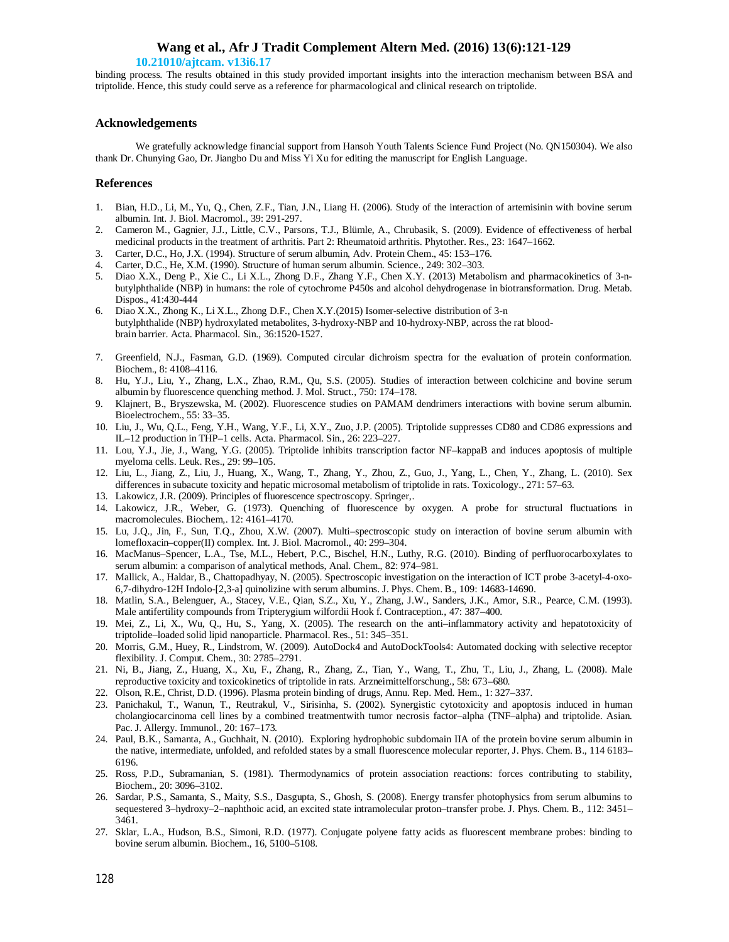### **10.21010/ajtcam. v13i6.17**

binding process. The results obtained in this study provided important insights into the interaction mechanism between BSA and triptolide. Hence, this study could serve as a reference for pharmacological and clinical research on triptolide.

### **Acknowledgements**

We gratefully acknowledge financial support from Hansoh Youth Talents Science Fund Project (No. QN150304). We also thank Dr. Chunying Gao, Dr. Jiangbo Du and Miss Yi Xu for editing the manuscript for English Language.

## **References**

- 1. Bian, H.D., Li, M., Yu, Q., Chen, Z.F., Tian, J.N., Liang H. (2006). Study of the interaction of artemisinin with bovine serum albumin. Int. J. Biol. Macromol., 39: 291-297.
- 2. Cameron M., Gagnier, J.J., Little, C.V., Parsons, T.J., Blümle, A., Chrubasik, S. (2009). Evidence of effectiveness of herbal medicinal products in the treatment of arthritis. Part 2: Rheumatoid arthritis. Phytother. Res., 23: 1647–1662.
- 3. Carter, D.C., Ho, J.X. (1994). Structure of serum albumin, Adv. Protein Chem., 45: 153–176.
- 4. Carter, D.C., He, X.M. (1990). Structure of human serum albumin. Science., 249: 302–303.
- 5. Diao X.X., Deng P., Xie C., Li X.L., Zhong D.F., Zhang Y.F., Chen X.Y. (2013) Metabolism and pharmacokinetics of 3-nbutylphthalide (NBP) in humans: the role of cytochrome P450s and alcohol dehydrogenase in biotransformation. Drug. Metab. Dispos., 41:430-444
- 6. Diao X.X., Zhong K., Li X.L., Zhong D.F., Chen X.Y.(2015) Isomer-selective distribution of 3-n butylphthalide (NBP) hydroxylated metabolites, 3-hydroxy-NBP and 10-hydroxy-NBP, across the rat bloodbrain barrier. Acta. Pharmacol. Sin., 36:1520-1527.
- 7. Greenfield, N.J., Fasman, G.D. (1969). Computed circular dichroism spectra for the evaluation of protein conformation. Biochem., 8: 4108–4116.
- 8. Hu, Y.J., Liu, Y., Zhang, L.X., Zhao, R.M., Qu, S.S. (2005). Studies of interaction between colchicine and bovine serum albumin by fluorescence quenching method. J. Mol. Struct., 750: 174–178.
- 9. Klajnert, B., Bryszewska, M. (2002). Fluorescence studies on PAMAM dendrimers interactions with bovine serum albumin. Bioelectrochem., 55: 33–35.
- 10. Liu, J., Wu, Q.L., Feng, Y.H., Wang, Y.F., Li, X.Y., Zuo, J.P. (2005). Triptolide suppresses CD80 and CD86 expressions and IL–12 production in THP–1 cells. Acta. Pharmacol. Sin., 26: 223–227.
- 11. Lou, Y.J., Jie, J., Wang, Y.G. (2005). Triptolide inhibits transcription factor NF–kappaB and induces apoptosis of multiple myeloma cells. Leuk. Res., 29: 99–105.
- 12. Liu, L., Jiang, Z., Liu, J., Huang, X., Wang, T., Zhang, Y., Zhou, Z., Guo, J., Yang, L., Chen, Y., Zhang, L. (2010). Sex differences in subacute toxicity and hepatic microsomal metabolism of triptolide in rats. Toxicology., 271: 57–63.
- 13. Lakowicz, J.R. (2009). Principles of fluorescence spectroscopy. Springer,.
- 14. Lakowicz, J.R., Weber, G. (1973). Quenching of fluorescence by oxygen. A probe for structural fluctuations in macromolecules. Biochem,. 12: 4161–4170.
- 15. Lu, J.Q., Jin, F., Sun, T.Q., Zhou, X.W. (2007). Multi–spectroscopic study on interaction of bovine serum albumin with lomefloxacin–copper(II) complex. Int. J. Biol. Macromol., 40: 299–304.
- 16. MacManus–Spencer, L.A., Tse, M.L., Hebert, P.C., Bischel, H.N., Luthy, R.G. (2010). Binding of perfluorocarboxylates to serum albumin: a comparison of analytical methods, Anal. Chem., 82: 974–981.
- 17. Mallick, A., Haldar, B., Chattopadhyay, N. (2005). Spectroscopic investigation on the interaction of ICT probe 3-acetyl-4-oxo-6,7-dihydro-12H Indolo-[2,3-a] quinolizine with serum albumins. J. Phys. Chem. B., 109: 14683-14690.
- 18. Matlin, S.A., Belenguer, A., Stacey, V.E., Qian, S.Z., Xu, Y., Zhang, J.W., Sanders, J.K., Amor, S.R., Pearce, C.M. (1993). Male antifertility compounds from Tripterygium wilfordii Hook f. Contraception., 47: 387–400.
- 19. Mei, Z., Li, X., Wu, Q., Hu, S., Yang, X. (2005). The research on the anti–inflammatory activity and hepatotoxicity of triptolide–loaded solid lipid nanoparticle. Pharmacol. Res., 51: 345–351.
- 20. Morris, G.M., Huey, R., Lindstrom, W. (2009). AutoDock4 and AutoDockTools4: Automated docking with selective receptor flexibility. J. Comput. Chem., 30: 2785–2791.
- 21. Ni, B., Jiang, Z., Huang, X., Xu, F., Zhang, R., Zhang, Z., Tian, Y., Wang, T., Zhu, T., Liu, J., Zhang, L. (2008). Male reproductive toxicity and toxicokinetics of triptolide in rats. Arzneimittelforschung., 58: 673–680.
- 22. Olson, R.E., Christ, D.D. (1996). Plasma protein binding of drugs, Annu. Rep. Med. Hem., 1: 327–337.
- 23. Panichakul, T., Wanun, T., Reutrakul, V., Sirisinha, S. (2002). Synergistic cytotoxicity and apoptosis induced in human cholangiocarcinoma cell lines by a combined treatmentwith tumor necrosis factor–alpha (TNF–alpha) and triptolide. Asian. Pac. J. Allergy. Immunol., 20: 167–173.
- 24. Paul, B.K., Samanta, A., Guchhait, N. (2010). Exploring hydrophobic subdomain IIA of the protein bovine serum albumin in the native, intermediate, unfolded, and refolded states by a small fluorescence molecular reporter, J. Phys. Chem. B., 114 6183– 6196.
- 25. Ross, P.D., Subramanian, S. (1981). Thermodynamics of protein association reactions: forces contributing to stability, Biochem., 20: 3096–3102.
- 26. Sardar, P.S., Samanta, S., Maity, S.S., Dasgupta, S., Ghosh, S. (2008). Energy transfer photophysics from serum albumins to sequestered 3–hydroxy–2–naphthoic acid, an excited state intramolecular proton–transfer probe. J. Phys. Chem. B., 112: 3451– 3461.
- 27. Sklar, L.A., Hudson, B.S., Simoni, R.D. (1977). Conjugate polyene fatty acids as fluorescent membrane probes: binding to bovine serum albumin. Biochem., 16, 5100–5108.